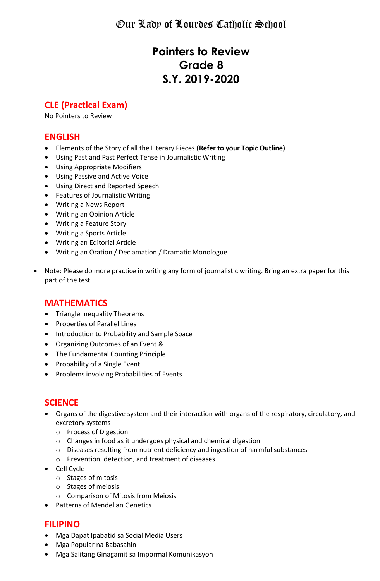Our Lady of Lourdes Catholic School

# **Pointers to Review Grade 8 S.Y. 2019-2020**

# **CLE (Practical Exam)**

No Pointers to Review

### **ENGLISH**

- Elements of the Story of all the Literary Pieces **(Refer to your Topic Outline)**
- Using Past and Past Perfect Tense in Journalistic Writing
- Using Appropriate Modifiers
- Using Passive and Active Voice
- Using Direct and Reported Speech
- Features of Journalistic Writing
- Writing a News Report
- Writing an Opinion Article
- Writing a Feature Story
- Writing a Sports Article
- Writing an Editorial Article
- Writing an Oration / Declamation / Dramatic Monologue
- Note: Please do more practice in writing any form of journalistic writing. Bring an extra paper for this part of the test.

#### **MATHEMATICS**

- Triangle Inequality Theorems
- Properties of Parallel Lines
- Introduction to Probability and Sample Space
- Organizing Outcomes of an Event &
- The Fundamental Counting Principle
- Probability of a Single Event
- Problems involving Probabilities of Events

## **SCIENCE**

- Organs of the digestive system and their interaction with organs of the respiratory, circulatory, and excretory systems
	- o Process of Digestion
	- o Changes in food as it undergoes physical and chemical digestion
	- o Diseases resulting from nutrient deficiency and ingestion of harmful substances
	- o Prevention, detection, and treatment of diseases
- Cell Cycle
	- o Stages of mitosis
	- o Stages of meiosis
	- o Comparison of Mitosis from Meiosis
- Patterns of Mendelian Genetics

## **FILIPINO**

- Mga Dapat Ipabatid sa Social Media Users
- Mga Popular na Babasahin
- Mga Salitang Ginagamit sa Impormal Komunikasyon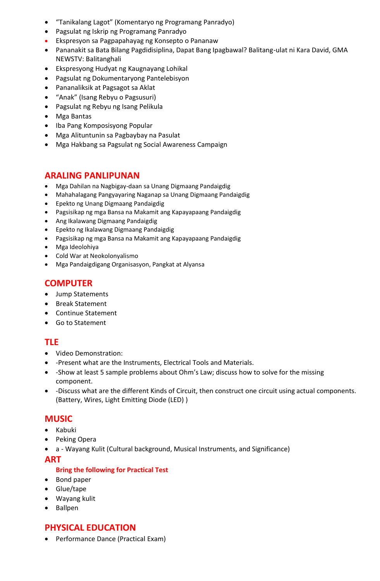- "Tanikalang Lagot" (Komentaryo ng Programang Panradyo)
- Pagsulat ng Iskrip ng Programang Panradyo
- Ekspresyon sa Pagpapahayag ng Konsepto o Pananaw
- Pananakit sa Bata Bilang Pagdidisiplina, Dapat Bang Ipagbawal? Balitang-ulat ni Kara David, GMA NEWSTV: Balitanghali
- Ekspresyong Hudyat ng Kaugnayang Lohikal
- Pagsulat ng Dokumentaryong Pantelebisyon
- Pananaliksik at Pagsagot sa Aklat
- "Anak" (Isang Rebyu o Pagsusuri)
- Pagsulat ng Rebyu ng Isang Pelikula
- Mga Bantas
- Iba Pang Komposisyong Popular
- Mga Alituntunin sa Pagbaybay na Pasulat
- Mga Hakbang sa Pagsulat ng Social Awareness Campaign

### **ARALING PANLIPUNAN**

- Mga Dahilan na Nagbigay-daan sa Unang Digmaang Pandaigdig
- Mahahalagang Pangyayaring Naganap sa Unang Digmaang Pandaigdig
- Epekto ng Unang Digmaang Pandaigdig
- Pagsisikap ng mga Bansa na Makamit ang Kapayapaang Pandaigdig
- Ang Ikalawang Digmaang Pandaigdig
- Epekto ng Ikalawang Digmaang Pandaigdig
- Pagsisikap ng mga Bansa na Makamit ang Kapayapaang Pandaigdig
- Mga Ideolohiya
- Cold War at Neokolonyalismo
- Mga Pandaigdigang Organisasyon, Pangkat at Alyansa

# **COMPUTER**

- Jump Statements
- Break Statement
- Continue Statement
- Go to Statement

## **TLE**

- Video Demonstration:
- -Present what are the Instruments, Electrical Tools and Materials.
- -Show at least 5 sample problems about Ohm's Law; discuss how to solve for the missing component.
- -Discuss what are the different Kinds of Circuit, then construct one circuit using actual components. (Battery, Wires, Light Emitting Diode (LED) )

### **MUSIC**

- Kabuki
- Peking Opera
- a Wayang Kulit (Cultural background, Musical Instruments, and Significance)

#### **ART**

#### **Bring the following for Practical Test**

- Bond paper
- Glue/tape
- Wayang kulit
- Ballpen

### **PHYSICAL EDUCATION**

Performance Dance (Practical Exam)